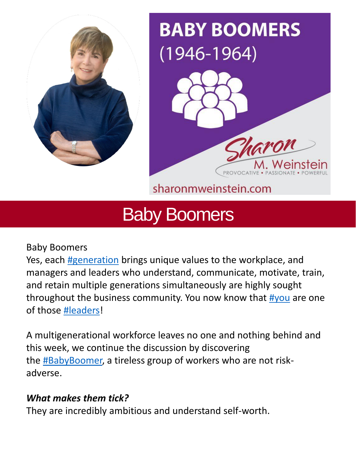



sharonmweinstein.com

# Baby Boomers

Baby Boomers

Yes, each [#generation](https://www.linkedin.com/feed/hashtag/?keywords=generation&highlightedUpdateUrns=urn%3Ali%3Aactivity%3A6927212677647798272) brings unique values to the workplace, and managers and leaders who understand, communicate, motivate, train, and retain multiple generations simultaneously are highly sought throughout the business community. You now know that [#you](https://www.linkedin.com/feed/hashtag/?keywords=you&highlightedUpdateUrns=urn%3Ali%3Aactivity%3A6927212677647798272) are one of those [#leaders!](https://www.linkedin.com/feed/hashtag/?keywords=leaders&highlightedUpdateUrns=urn%3Ali%3Aactivity%3A6927212677647798272)

A multigenerational workforce leaves no one and nothing behind and this week, we continue the discussion by discovering the **#BabyBoomer**, a tireless group of workers who are not riskadverse.

# *What makes them tick?*

They are incredibly ambitious and understand self-worth.